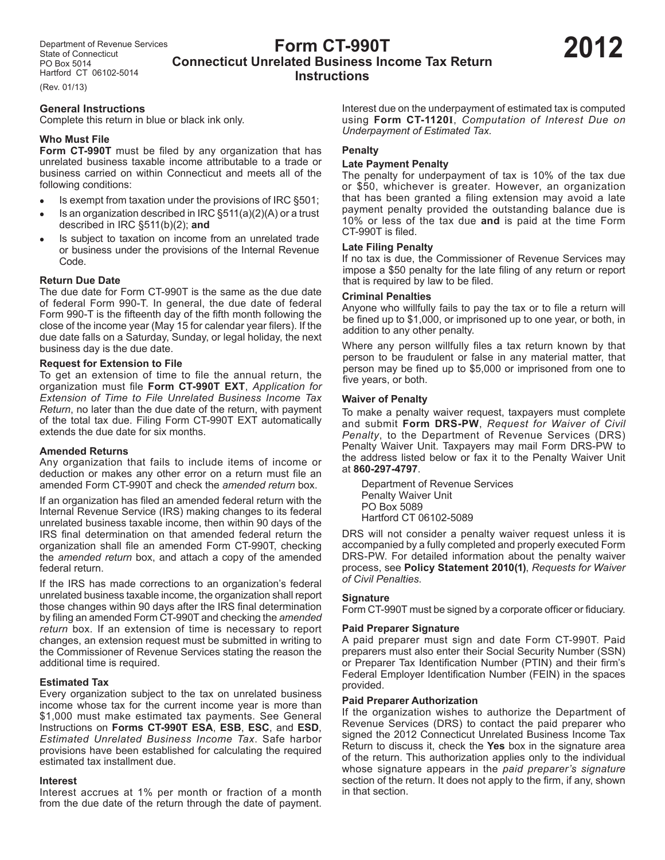# **Form CT-990T Connecticut Unrelated Business Income Tax Return Instructions**

(Rev. 01/13)

# **General Instructions**

Complete this return in blue or black ink only.

# **Who Must File**

**Form CT-990T** must be filed by any organization that has unrelated business taxable income attributable to a trade or business carried on within Connecticut and meets all of the following conditions:

- Is exempt from taxation under the provisions of IRC §501;
- Is an organization described in IRC §511(a)(2)(A) or a trust described in IRC §511(b)(2); **and**
- Is subject to taxation on income from an unrelated trade or business under the provisions of the Internal Revenue Code.

# **Return Due Date**

The due date for Form CT-990T is the same as the due date of federal Form 990-T. In general, the due date of federal Form 990-T is the fifteenth day of the fifth month following the close of the income year (May 15 for calendar year filers). If the due date falls on a Saturday, Sunday, or legal holiday, the next business day is the due date.

# **Request for Extension to File**

To get an extension of time to file the annual return, the organization must file **Form CT-990T EXT**, *Application for Extension of Time to File Unrelated Business Income Tax Return*, no later than the due date of the return, with payment of the total tax due. Filing Form CT-990T EXT automatically extends the due date for six months.

# **Amended Returns**

Any organization that fails to include items of income or deduction or makes any other error on a return must file an amended Form CT-990T and check the *amended return* box.

If an organization has filed an amended federal return with the Internal Revenue Service (IRS) making changes to its federal unrelated business taxable income, then within 90 days of the IRS final determination on that amended federal return the organization shall file an amended Form CT-990T, checking the *amended return* box, and attach a copy of the amended federal return.

If the IRS has made corrections to an organization's federal unrelated business taxable income, the organization shall report those changes within 90 days after the IRS final determination by filing an amended Form CT-990T and checking the *amended return* box. If an extension of time is necessary to report changes, an extension request must be submitted in writing to the Commissioner of Revenue Services stating the reason the additional time is required.

# **Estimated Tax**

Every organization subject to the tax on unrelated business income whose tax for the current income year is more than \$1,000 must make estimated tax payments. See General Instructions on **Forms CT-990T ESA**, **ESB**, **ESC**, and **ESD**, *Estimated Unrelated Business Income Tax*. Safe harbor provisions have been established for calculating the required estimated tax installment due.

#### **Interest**

Interest accrues at 1% per month or fraction of a month from the due date of the return through the date of payment. Interest due on the underpayment of estimated tax is computed using **Form CT-1120I**, *Computation of Interest Due on Underpayment of Estimated Tax.*

### **Penalty**

### **Late Payment Penalty**

The penalty for underpayment of tax is 10% of the tax due or \$50, whichever is greater. However, an organization that has been granted a filing extension may avoid a late payment penalty provided the outstanding balance due is 10% or less of the tax due **and** is paid at the time Form CT-990T is filed.

### **Late Filing Penalty**

If no tax is due, the Commissioner of Revenue Services may impose a \$50 penalty for the late filing of any return or report that is required by law to be filed.

#### **Criminal Penalties**

Anyone who willfully fails to pay the tax or to file a return will be fined up to \$1,000, or imprisoned up to one year, or both, in addition to any other penalty.

Where any person willfully files a tax return known by that person to be fraudulent or false in any material matter, that person may be fined up to \$5,000 or imprisoned from one to five years, or both.

### **Waiver of Penalty**

To make a penalty waiver request, taxpayers must complete and submit **Form DRS-PW**, *Request for Waiver of Civil Penalty*, to the Department of Revenue Services (DRS) Penalty Waiver Unit. Taxpayers may mail Form DRS-PW to the address listed below or fax it to the Penalty Waiver Unit at **860-297-4797**.

Department of Revenue Services Penalty Waiver Unit PO Box 5089 Hartford CT 06102-5089

DRS will not consider a penalty waiver request unless it is accompanied by a fully completed and properly executed Form DRS-PW. For detailed information about the penalty waiver process, see **Policy Statement 2010(1)**, *Requests for Waiver of Civil Penalties*.

# **Signature**

Form CT-990T must be signed by a corporate officer or fiduciary.

# **Paid Preparer Signature**

A paid preparer must sign and date Form CT-990T. Paid preparers must also enter their Social Security Number (SSN) or Preparer Tax Identification Number (PTIN) and their firm's Federal Employer Identification Number (FEIN) in the spaces provided.

#### **Paid Preparer Authorization**

If the organization wishes to authorize the Department of Revenue Services (DRS) to contact the paid preparer who signed the 2012 Connecticut Unrelated Business Income Tax Return to discuss it, check the **Yes** box in the signature area of the return. This authorization applies only to the individual whose signature appears in the *paid preparer's signature* section of the return. It does not apply to the firm, if any, shown in that section.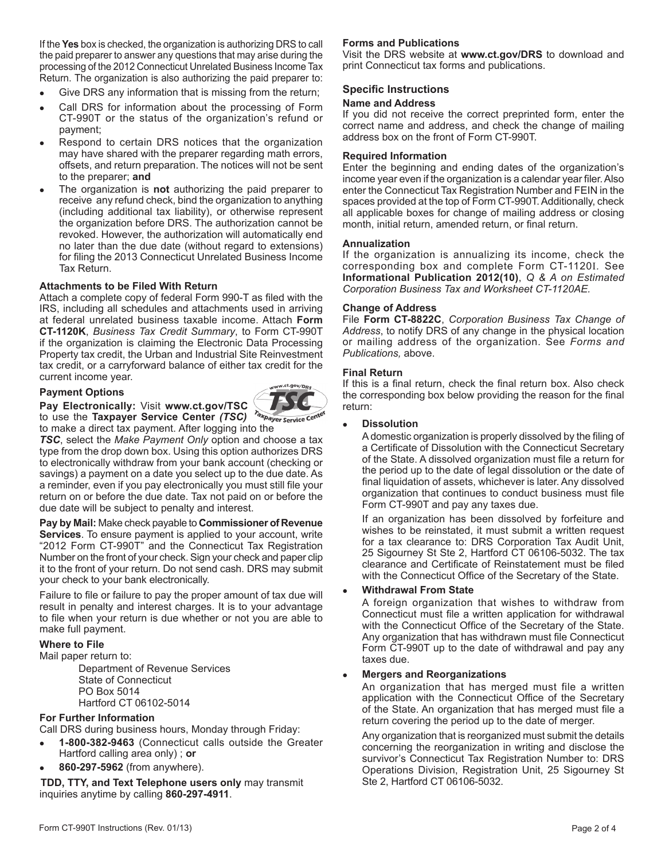If the **Yes** box is checked, the organization is authorizing DRS to call the paid preparer to answer any questions that may arise during the processing of the 2012 Connecticut Unrelated Business Income Tax Return. The organization is also authorizing the paid preparer to:

- Give DRS any information that is missing from the return;
- Call DRS for information about the processing of Form CT-990T or the status of the organization's refund or payment;
- Respond to certain DRS notices that the organization may have shared with the preparer regarding math errors, offsets, and return preparation. The notices will not be sent to the preparer; **and**
- The organization is **not** authorizing the paid preparer to receive any refund check, bind the organization to anything (including additional tax liability), or otherwise represent the organization before DRS. The authorization cannot be revoked. However, the authorization will automatically end no later than the due date (without regard to extensions) for filing the 2013 Connecticut Unrelated Business Income Tax Return.

### **Attachments to be Filed With Return**

Attach a complete copy of federal Form 990-T as filed with the IRS, including all schedules and attachments used in arriving at federal unrelated business taxable income. Attach **Form CT-1120K**, *Business Tax Credit Summary*, to Form CT-990T if the organization is claiming the Electronic Data Processing Property tax credit, the Urban and Industrial Site Reinvestment tax credit, or a carryforward balance of either tax credit for the current income year.

# **Payment Options**



to use the **Taxpayer Service Center** *(TSC)*  to make a direct tax payment. After logging into the

**Pay Electronically:** Visit **www.ct.gov/TSC**

*TSC*, select the *Make Payment Only* option and choose a tax type from the drop down box. Using this option authorizes DRS to electronically withdraw from your bank account (checking or savings) a payment on a date you select up to the due date. As a reminder, even if you pay electronically you must still file your return on or before the due date. Tax not paid on or before the due date will be subject to penalty and interest.

**Pay by Mail:** Make check payable to **Commissioner of Revenue Services**. To ensure payment is applied to your account, write "2012 Form CT-990T" and the Connecticut Tax Registration Number on the front of your check. Sign your check and paper clip it to the front of your return. Do not send cash. DRS may submit your check to your bank electronically.

Failure to file or failure to pay the proper amount of tax due will result in penalty and interest charges. It is to your advantage to file when your return is due whether or not you are able to make full payment.

# **Where to File**

Mail paper return to:

Department of Revenue Services State of Connecticut PO Box 5014 Hartford CT 06102-5014

# **For Further Information**

Call DRS during business hours, Monday through Friday:

- **1-800-382-9463** (Connecticut calls outside the Greater Hartford calling area only) ; **or**
- **860-297-5962** (from anywhere).

**TDD, TTY, and Text Telephone users only** may transmit inquiries anytime by calling **860-297-4911**.

# **Forms and Publications**

Visit the DRS website at **www.ct.gov/DRS** to download and print Connecticut tax forms and publications.

# **Specific Instructions**

# **Name and Address**

If you did not receive the correct preprinted form, enter the correct name and address, and check the change of mailing address box on the front of Form CT-990T.

#### **Required Information**

Enter the beginning and ending dates of the organization's income year even if the organization is a calendar year filer. Also enter the Connecticut Tax Registration Number and FEIN in the spaces provided at the top of Form CT-990T. Additionally, check all applicable boxes for change of mailing address or closing month, initial return, amended return, or final return.

#### **Annualization**

If the organization is annualizing its income, check the corresponding box and complete Form CT-1120I*.* See **Informational Publication 2012(10)**, *Q & A on Estimated Corporation Business Tax and Worksheet CT-1120AE.*

#### **Change of Address**

File **Form CT-8822C**, *Corporation Business Tax Change of Address*, to notify DRS of any change in the physical location or mailing address of the organization. See *Forms and Publications,* above.

#### **Final Return**

If this is a final return, check the final return box. Also check the corresponding box below providing the reason for the final return:

#### **Dissolution**

A domestic organization is properly dissolved by the filing of a Certificate of Dissolution with the Connecticut Secretary of the State. A dissolved organization must file a return for the period up to the date of legal dissolution or the date of final liquidation of assets, whichever is later. Any dissolved organization that continues to conduct business must file Form CT-990T and pay any taxes due.

If an organization has been dissolved by forfeiture and wishes to be reinstated, it must submit a written request for a tax clearance to: DRS Corporation Tax Audit Unit, 25 Sigourney St Ste 2, Hartford CT 06106-5032. The tax clearance and Certificate of Reinstatement must be filed with the Connecticut Office of the Secretary of the State.

#### **Withdrawal From State**

A foreign organization that wishes to withdraw from Connecticut must file a written application for withdrawal with the Connecticut Office of the Secretary of the State. Any organization that has withdrawn must file Connecticut Form CT-990T up to the date of withdrawal and pay any taxes due.

#### **Mergers and Reorganizations**

An organization that has merged must file a written application with the Connecticut Office of the Secretary of the State. An organization that has merged must file a return covering the period up to the date of merger.

Any organization that is reorganized must submit the details concerning the reorganization in writing and disclose the survivor's Connecticut Tax Registration Number to: DRS Operations Division, Registration Unit, 25 Sigourney St Ste 2, Hartford CT 06106-5032.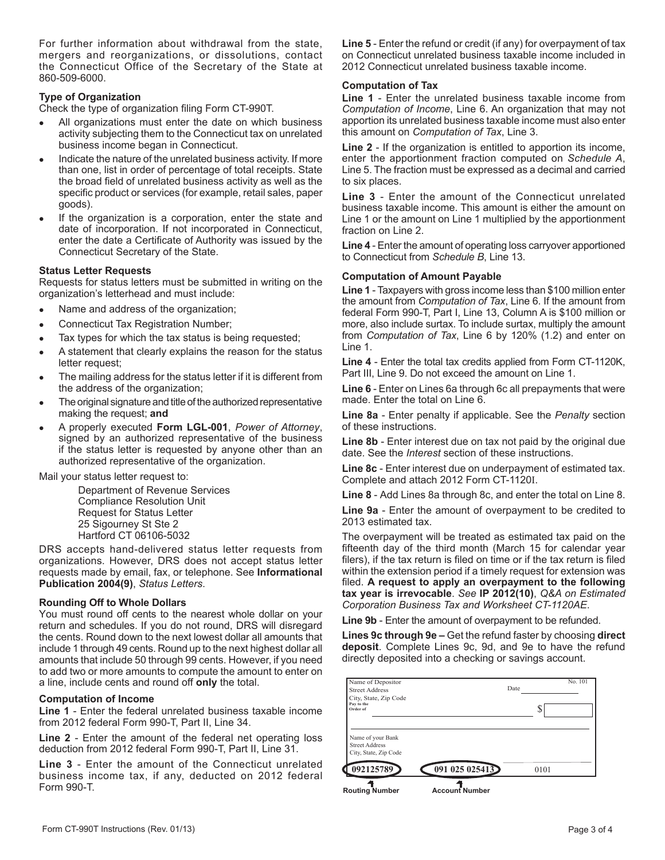For further information about withdrawal from the state, mergers and reorganizations, or dissolutions, contact the Connecticut Office of the Secretary of the State at 860-509-6000.

# **Type of Organization**

Check the type of organization filing Form CT-990T.

- All organizations must enter the date on which business activity subjecting them to the Connecticut tax on unrelated business income began in Connecticut.
- Indicate the nature of the unrelated business activity. If more than one, list in order of percentage of total receipts. State the broad field of unrelated business activity as well as the specific product or services (for example, retail sales, paper goods).
- If the organization is a corporation, enter the state and date of incorporation. If not incorporated in Connecticut, enter the date a Certificate of Authority was issued by the Connecticut Secretary of the State.

# **Status Letter Requests**

Requests for status letters must be submitted in writing on the organization's letterhead and must include:

- Name and address of the organization;
- Connecticut Tax Registration Number;
- Tax types for which the tax status is being requested;
- A statement that clearly explains the reason for the status letter request;
- The mailing address for the status letter if it is different from the address of the organization;
- The original signature and title of the authorized representative making the request; **and**
- A properly executed **Form LGL-001**, *Power of Attorney*, signed by an authorized representative of the business if the status letter is requested by anyone other than an authorized representative of the organization.

Mail your status letter request to:

Department of Revenue Services Compliance Resolution Unit Request for Status Letter 25 Sigourney St Ste 2 Hartford CT 06106-5032

DRS accepts hand-delivered status letter requests from organizations. However, DRS does not accept status letter requests made by email, fax, or telephone. See **Informational Publication 2004(9)**, *Status Letters*.

# **Rounding Off to Whole Dollars**

You must round off cents to the nearest whole dollar on your return and schedules. If you do not round, DRS will disregard the cents. Round down to the next lowest dollar all amounts that include 1 through 49 cents. Round up to the next highest dollar all amounts that include 50 through 99 cents. However, if you need to add two or more amounts to compute the amount to enter on a line, include cents and round off **only** the total.

# **Computation of Income**

**Line 1** - Enter the federal unrelated business taxable income from 2012 federal Form 990-T, Part II, Line 34.

**Line 2** - Enter the amount of the federal net operating loss deduction from 2012 federal Form 990-T, Part II, Line 31.

**Line 3** - Enter the amount of the Connecticut unrelated business income tax, if any, deducted on 2012 federal Form 990-T.

**Line 5** - Enter the refund or credit (if any) for overpayment of tax on Connecticut unrelated business taxable income included in 2012 Connecticut unrelated business taxable income.

# **Computation of Tax**

**Line 1** - Enter the unrelated business taxable income from *Computation of Income*, Line 6. An organization that may not apportion its unrelated business taxable income must also enter this amount on *Computation of Tax*, Line 3.

**Line 2** - If the organization is entitled to apportion its income, enter the apportionment fraction computed on *Schedule A*, Line 5. The fraction must be expressed as a decimal and carried to six places.

**Line 3** - Enter the amount of the Connecticut unrelated business taxable income. This amount is either the amount on Line 1 or the amount on Line 1 multiplied by the apportionment fraction on Line 2.

**Line 4** - Enter the amount of operating loss carryover apportioned to Connecticut from *Schedule B*, Line 13.

### **Computation of Amount Payable**

**Line 1** - Taxpayers with gross income less than \$100 million enter the amount from *Computation of Tax*, Line 6. If the amount from federal Form 990-T, Part I, Line 13, Column A is \$100 million or more, also include surtax. To include surtax, multiply the amount from *Computation of Tax*, Line 6 by 120% (1.2) and enter on Line 1.

**Line 4** - Enter the total tax credits applied from Form CT-1120K, Part III, Line 9. Do not exceed the amount on Line 1.

**Line 6** - Enter on Lines 6a through 6c all prepayments that were made. Enter the total on Line 6.

**Line 8a** - Enter penalty if applicable. See the *Penalty* section of these instructions.

**Line 8b** - Enter interest due on tax not paid by the original due date. See the *Interest* section of these instructions.

**Line 8c** - Enter interest due on underpayment of estimated tax. Complete and attach 2012 Form CT-1120I.

**Line 8** - Add Lines 8a through 8c, and enter the total on Line 8.

**Line 9a** - Enter the amount of overpayment to be credited to 2013 estimated tax.

The overpayment will be treated as estimated tax paid on the fifteenth day of the third month (March 15 for calendar year filers), if the tax return is filed on time or if the tax return is filed within the extension period if a timely request for extension was filed. **A request to apply an overpayment to the following tax year is irrevocable**. *See* **IP 2012(10)**, *Q&A on Estimated Corporation Business Tax and Worksheet CT-1120AE*.

**Line 9b** - Enter the amount of overpayment to be refunded.

**Lines 9c through 9e –** Get the refund faster by choosing **direct deposit**. Complete Lines 9c, 9d, and 9e to have the refund directly deposited into a checking or savings account.

| 092125789                                                           | 091025025413 |      | 0101 |         |
|---------------------------------------------------------------------|--------------|------|------|---------|
| Name of your Bank<br><b>Street Address</b><br>City, State, Zip Code |              |      |      |         |
| City, State, Zip Code<br>Pay to the<br>Order of                     |              |      | J    |         |
| Name of Depositor<br><b>Street Address</b>                          |              | Date |      | No. 101 |

**Routing Number Account Number**